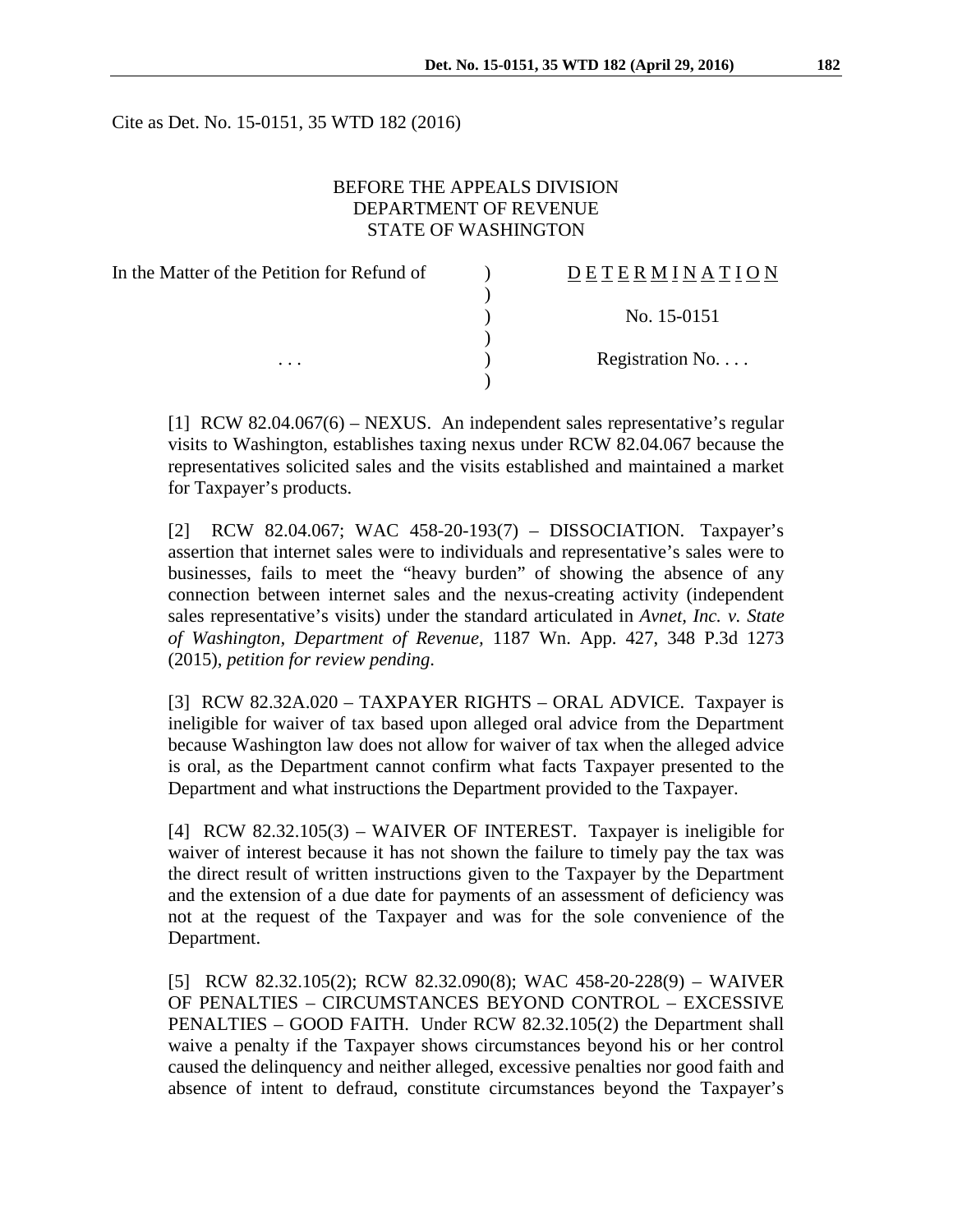Cite as Det. No. 15-0151, 35 WTD 182 (2016)

# BEFORE THE APPEALS DIVISION DEPARTMENT OF REVENUE STATE OF WASHINGTON

| In the Matter of the Petition for Refund of | DETERMINATION   |
|---------------------------------------------|-----------------|
|                                             |                 |
|                                             | No. 15-0151     |
|                                             |                 |
| $\cdots$                                    | Registration No |
|                                             |                 |

[1] RCW 82.04.067(6) – NEXUS. An independent sales representative's regular visits to Washington, establishes taxing nexus under RCW 82.04.067 because the representatives solicited sales and the visits established and maintained a market for Taxpayer's products.

[2] RCW 82.04.067; WAC 458-20-193(7) – DISSOCIATION. Taxpayer's assertion that internet sales were to individuals and representative's sales were to businesses, fails to meet the "heavy burden" of showing the absence of any connection between internet sales and the nexus-creating activity (independent sales representative's visits) under the standard articulated in *Avnet, Inc. v. State of Washington, Department of Revenue,* 1187 Wn. App. 427, 348 P.3d 1273 (2015), *petition for review pending*.

[3] RCW 82.32A.020 – TAXPAYER RIGHTS – ORAL ADVICE. Taxpayer is ineligible for waiver of tax based upon alleged oral advice from the Department because Washington law does not allow for waiver of tax when the alleged advice is oral, as the Department cannot confirm what facts Taxpayer presented to the Department and what instructions the Department provided to the Taxpayer.

[4] RCW 82.32.105(3) – WAIVER OF INTEREST. Taxpayer is ineligible for waiver of interest because it has not shown the failure to timely pay the tax was the direct result of written instructions given to the Taxpayer by the Department and the extension of a due date for payments of an assessment of deficiency was not at the request of the Taxpayer and was for the sole convenience of the Department.

[5] RCW 82.32.105(2); RCW 82.32.090(8); WAC 458-20-228(9) – WAIVER OF PENALTIES – CIRCUMSTANCES BEYOND CONTROL – EXCESSIVE PENALTIES – GOOD FAITH. Under RCW 82.32.105(2) the Department shall waive a penalty if the Taxpayer shows circumstances beyond his or her control caused the delinquency and neither alleged, excessive penalties nor good faith and absence of intent to defraud, constitute circumstances beyond the Taxpayer's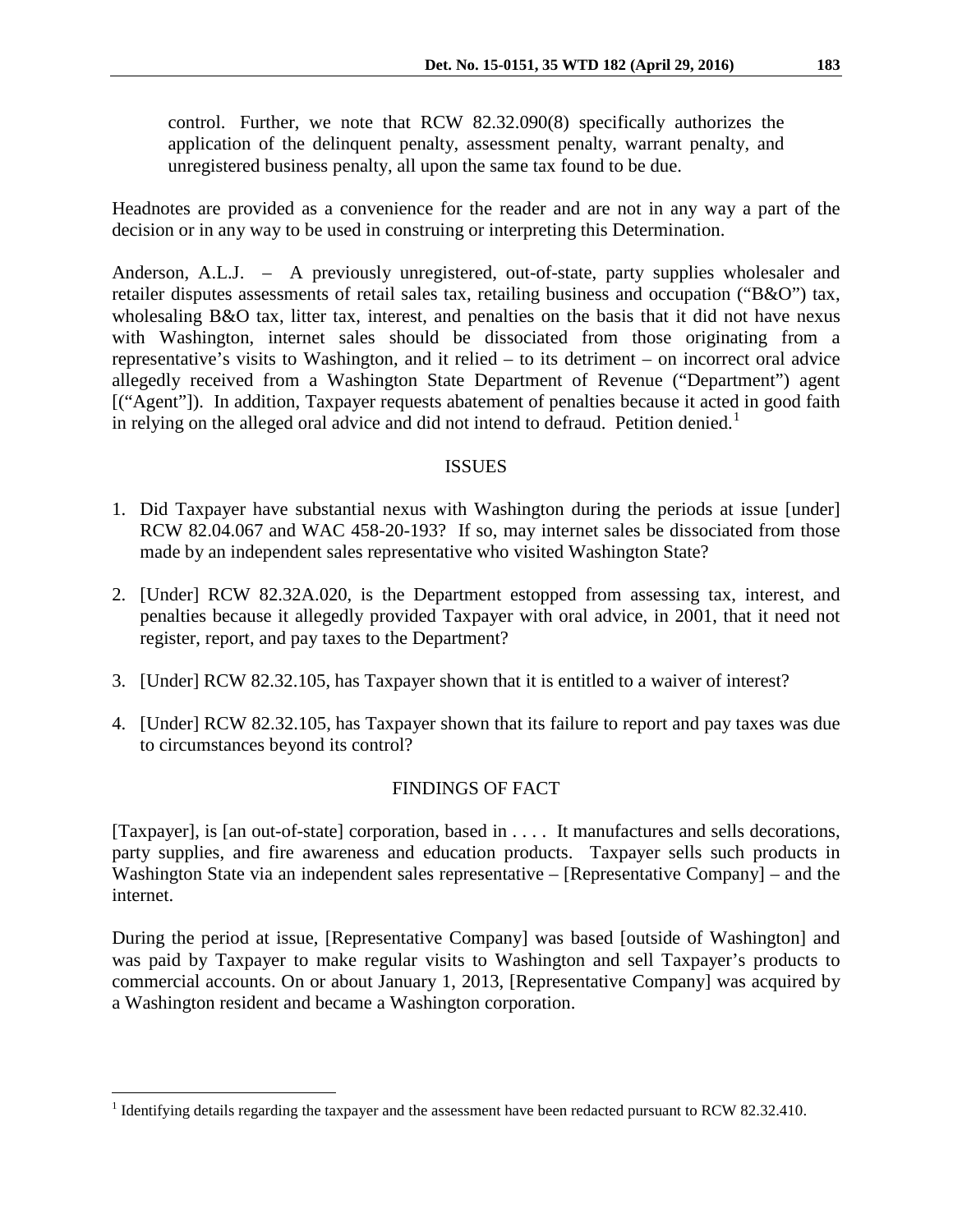control. Further, we note that RCW 82.32.090(8) specifically authorizes the application of the delinquent penalty, assessment penalty, warrant penalty, and unregistered business penalty, all upon the same tax found to be due.

Headnotes are provided as a convenience for the reader and are not in any way a part of the decision or in any way to be used in construing or interpreting this Determination.

Anderson, A.L.J. – A previously unregistered, out-of-state, party supplies wholesaler and retailer disputes assessments of retail sales tax, retailing business and occupation ("B&O") tax, wholesaling B&O tax, litter tax, interest, and penalties on the basis that it did not have nexus with Washington, internet sales should be dissociated from those originating from a representative's visits to Washington, and it relied – to its detriment – on incorrect oral advice allegedly received from a Washington State Department of Revenue ("Department") agent [("Agent"]). In addition, Taxpayer requests abatement of penalties because it acted in good faith in relying on the alleged oral advice and did not intend to defraud. Petition denied.<sup>[1](#page-1-0)</sup>

### ISSUES

- 1. Did Taxpayer have substantial nexus with Washington during the periods at issue [under] RCW 82.04.067 and WAC 458-20-193? If so, may internet sales be dissociated from those made by an independent sales representative who visited Washington State?
- 2. [Under] RCW 82.32A.020, is the Department estopped from assessing tax, interest, and penalties because it allegedly provided Taxpayer with oral advice, in 2001, that it need not register, report, and pay taxes to the Department?
- 3. [Under] RCW 82.32.105, has Taxpayer shown that it is entitled to a waiver of interest?
- 4. [Under] RCW 82.32.105, has Taxpayer shown that its failure to report and pay taxes was due to circumstances beyond its control?

# FINDINGS OF FACT

[Taxpayer], is [an out-of-state] corporation, based in . . . . It manufactures and sells decorations, party supplies, and fire awareness and education products. Taxpayer sells such products in Washington State via an independent sales representative – [Representative Company] – and the internet.

During the period at issue, [Representative Company] was based [outside of Washington] and was paid by Taxpayer to make regular visits to Washington and sell Taxpayer's products to commercial accounts. On or about January 1, 2013, [Representative Company] was acquired by a Washington resident and became a Washington corporation.

<span id="page-1-0"></span><sup>&</sup>lt;sup>1</sup> Identifying details regarding the taxpayer and the assessment have been redacted pursuant to RCW 82.32.410.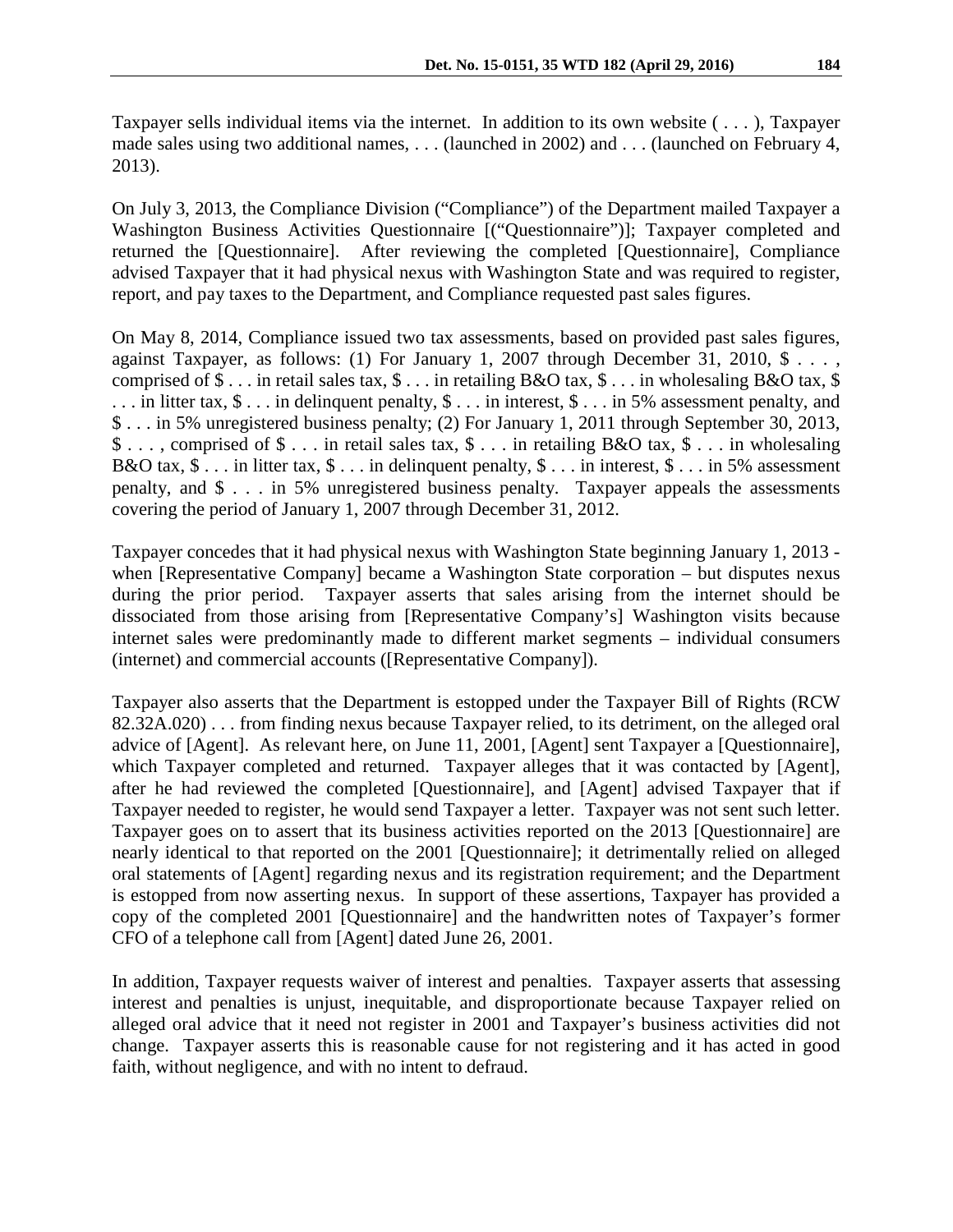Taxpayer sells individual items via the internet. In addition to its own website ( . . . ), Taxpayer made sales using two additional names, . . . (launched in 2002) and . . . (launched on February 4, 2013).

On July 3, 2013, the Compliance Division ("Compliance") of the Department mailed Taxpayer a Washington Business Activities Questionnaire [("Questionnaire")]; Taxpayer completed and returned the [Questionnaire]. After reviewing the completed [Questionnaire], Compliance advised Taxpayer that it had physical nexus with Washington State and was required to register, report, and pay taxes to the Department, and Compliance requested past sales figures.

On May 8, 2014, Compliance issued two tax assessments, based on provided past sales figures, against Taxpayer, as follows: (1) For January 1, 2007 through December 31, 2010, \$ . . . , comprised of  $\$\dots$  in retail sales tax,  $\$\dots$  in retailing B&O tax,  $\$\dots$  in wholesaling B&O tax,  $\$\$ . . . in litter tax, \$ . . . in delinquent penalty, \$ . . . in interest, \$ . . . in 5% assessment penalty, and \$ . . . in 5% unregistered business penalty; (2) For January 1, 2011 through September 30, 2013, \$ . . . , comprised of \$ . . . in retail sales tax, \$ . . . in retailing B&O tax, \$ . . . in wholesaling B&O tax,  $\$\dots$  in litter tax,  $\$\dots$  in delinguent penalty,  $\$\dots$  in interest,  $\$\dots$  in 5% assessment penalty, and \$ . . . in 5% unregistered business penalty. Taxpayer appeals the assessments covering the period of January 1, 2007 through December 31, 2012.

Taxpayer concedes that it had physical nexus with Washington State beginning January 1, 2013 when [Representative Company] became a Washington State corporation – but disputes nexus during the prior period. Taxpayer asserts that sales arising from the internet should be dissociated from those arising from [Representative Company's] Washington visits because internet sales were predominantly made to different market segments – individual consumers (internet) and commercial accounts ([Representative Company]).

Taxpayer also asserts that the Department is estopped under the Taxpayer Bill of Rights (RCW 82.32A.020) . . . from finding nexus because Taxpayer relied, to its detriment, on the alleged oral advice of [Agent]. As relevant here, on June 11, 2001, [Agent] sent Taxpayer a [Questionnaire], which Taxpayer completed and returned. Taxpayer alleges that it was contacted by [Agent], after he had reviewed the completed [Questionnaire], and [Agent] advised Taxpayer that if Taxpayer needed to register, he would send Taxpayer a letter. Taxpayer was not sent such letter. Taxpayer goes on to assert that its business activities reported on the 2013 [Questionnaire] are nearly identical to that reported on the 2001 [Questionnaire]; it detrimentally relied on alleged oral statements of [Agent] regarding nexus and its registration requirement; and the Department is estopped from now asserting nexus. In support of these assertions, Taxpayer has provided a copy of the completed 2001 [Questionnaire] and the handwritten notes of Taxpayer's former CFO of a telephone call from [Agent] dated June 26, 2001.

In addition, Taxpayer requests waiver of interest and penalties. Taxpayer asserts that assessing interest and penalties is unjust, inequitable, and disproportionate because Taxpayer relied on alleged oral advice that it need not register in 2001 and Taxpayer's business activities did not change. Taxpayer asserts this is reasonable cause for not registering and it has acted in good faith, without negligence, and with no intent to defraud.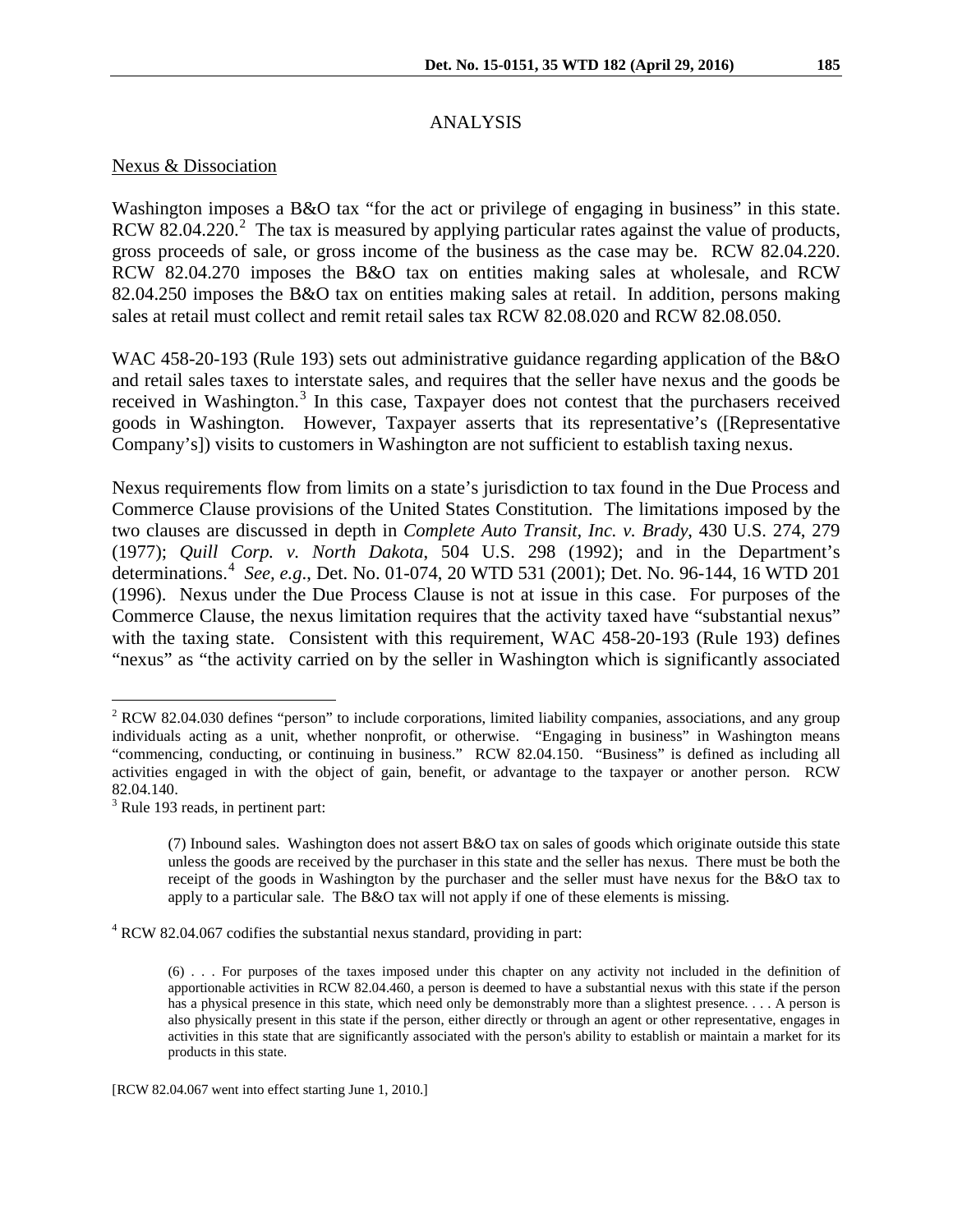### ANALYSIS

#### Nexus & Dissociation

Washington imposes a B&O tax "for the act or privilege of engaging in business" in this state. RCW 8[2](#page-3-0).04.220.<sup>2</sup> The tax is measured by applying particular rates against the value of products, gross proceeds of sale, or gross income of the business as the case may be. RCW 82.04.220. RCW 82.04.270 imposes the B&O tax on entities making sales at wholesale, and RCW 82.04.250 imposes the B&O tax on entities making sales at retail. In addition, persons making sales at retail must collect and remit retail sales tax RCW 82.08.020 and RCW 82.08.050.

WAC 458-20-193 (Rule 193) sets out administrative guidance regarding application of the B&O and retail sales taxes to interstate sales, and requires that the seller have nexus and the goods be received in Washington.<sup>[3](#page-3-1)</sup> In this case, Taxpayer does not contest that the purchasers received goods in Washington. However, Taxpayer asserts that its representative's ([Representative Company's]) visits to customers in Washington are not sufficient to establish taxing nexus.

Nexus requirements flow from limits on a state's jurisdiction to tax found in the Due Process and Commerce Clause provisions of the United States Constitution. The limitations imposed by the two clauses are discussed in depth in *Complete Auto Transit, Inc. v. Brady*, 430 U.S. 274, 279 (1977); *Quill Corp. v. North Dakota*, 504 U.S. 298 (1992); and in the Department's determinations.[4](#page-3-2) *See, e.g*., Det. No. 01-074, 20 WTD 531 (2001); Det. No. 96-144, 16 WTD 201 (1996). Nexus under the Due Process Clause is not at issue in this case. For purposes of the Commerce Clause, the nexus limitation requires that the activity taxed have "substantial nexus" with the taxing state. Consistent with this requirement, WAC 458-20-193 (Rule 193) defines "nexus" as "the activity carried on by the seller in Washington which is significantly associated

<span id="page-3-0"></span> $2$  RCW 82.04.030 defines "person" to include corporations, limited liability companies, associations, and any group individuals acting as a unit, whether nonprofit, or otherwise. "Engaging in business" in Washington means "commencing, conducting, or continuing in business." RCW 82.04.150. "Business" is defined as including all activities engaged in with the object of gain, benefit, or advantage to the taxpayer or another person. RCW

<span id="page-3-1"></span> $3^3$  Rule 193 reads, in pertinent part:

<sup>(7)</sup> Inbound sales. Washington does not assert B&O tax on sales of goods which originate outside this state unless the goods are received by the purchaser in this state and the seller has nexus. There must be both the receipt of the goods in Washington by the purchaser and the seller must have nexus for the B&O tax to apply to a particular sale. The B&O tax will not apply if one of these elements is missing.

<span id="page-3-2"></span><sup>4</sup> RCW 82.04.067 codifies the substantial nexus standard, providing in part:

<sup>(6) . . .</sup> For purposes of the taxes imposed under this chapter on any activity not included in the definition of apportionable activities in RCW 82.04.460, a person is deemed to have a substantial nexus with this state if the person has a physical presence in this state, which need only be demonstrably more than a slightest presence. . . . A person is also physically present in this state if the person, either directly or through an agent or other representative, engages in activities in this state that are significantly associated with the person's ability to establish or maintain a market for its products in this state.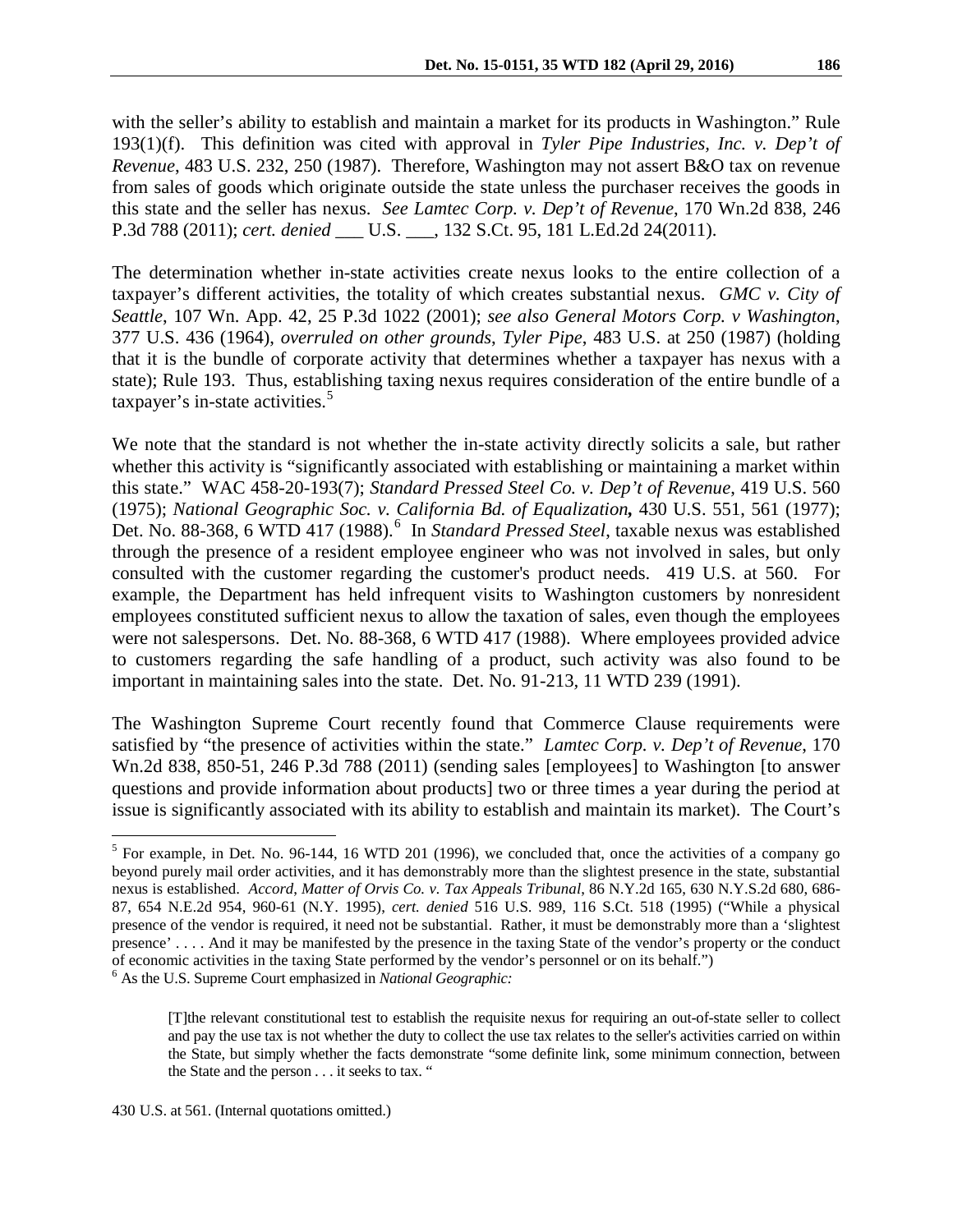with the seller's ability to establish and maintain a market for its products in Washington." Rule 193(1)(f). This definition was cited with approval in *Tyler Pipe Industries, Inc. v. Dep't of Revenue*, 483 U.S. 232, 250 (1987). Therefore, Washington may not assert B&O tax on revenue from sales of goods which originate outside the state unless the purchaser receives the goods in this state and the seller has nexus. *See Lamtec Corp. v. Dep't of Revenue*, 170 Wn.2d 838, 246 P.3d 788 (2011); *cert. denied* \_\_\_ U.S. \_\_\_, 132 S.Ct. 95, 181 L.Ed.2d 24(2011).

The determination whether in-state activities create nexus looks to the entire collection of a taxpayer's different activities, the totality of which creates substantial nexus. *GMC v. City of Seattle*, 107 Wn. App. 42, 25 P.3d 1022 (2001); *see also General Motors Corp. v Washington*, 377 U.S. 436 (1964), *overruled on other grounds*, *Tyler Pipe*, 483 U.S. at 250 (1987) (holding that it is the bundle of corporate activity that determines whether a taxpayer has nexus with a state); Rule 193. Thus, establishing taxing nexus requires consideration of the entire bundle of a taxpayer's in-state activities.<sup>[5](#page-4-0)</sup>

We note that the standard is not whether the in-state activity directly solicits a sale, but rather whether this activity is "significantly associated with establishing or maintaining a market within this state." WAC 458-20-193(7); *Standard Pressed Steel Co. v. Dep't of Revenue*, 419 U.S. 560 (1975); *National Geographic Soc. v. California Bd. of Equalization,* 430 U.S. 551, 561 (1977); Det. No. 88-368, 6 WTD 417 (1988). [6](#page-4-1) In *Standard Pressed Steel*, taxable nexus was established through the presence of a resident employee engineer who was not involved in sales, but only consulted with the customer regarding the customer's product needs. 419 U.S. at 560. For example, the Department has held infrequent visits to Washington customers by nonresident employees constituted sufficient nexus to allow the taxation of sales, even though the employees were not salespersons. Det. No. 88-368, 6 WTD 417 (1988). Where employees provided advice to customers regarding the safe handling of a product, such activity was also found to be important in maintaining sales into the state. Det. No. 91-213*,* 11 WTD 239 (1991).

The Washington Supreme Court recently found that Commerce Clause requirements were satisfied by "the presence of activities within the state." *Lamtec Corp. v. Dep't of Revenue*, 170 Wn.2d 838, 850-51, 246 P.3d 788 (2011) (sending sales [employees] to Washington [to answer questions and provide information about products] two or three times a year during the period at issue is significantly associated with its ability to establish and maintain its market). The Court's

<span id="page-4-0"></span> $<sup>5</sup>$  For example, in Det. No. 96-144, 16 WTD 201 (1996), we concluded that, once the activities of a company go</sup> beyond purely mail order activities, and it has demonstrably more than the slightest presence in the state, substantial nexus is established. *Accord*, *Matter of Orvis Co. v. Tax Appeals Tribunal*, 86 N.Y.2d 165, 630 N.Y.S.2d 680, 686- 87, 654 N.E.2d 954, 960-61 (N.Y. 1995), *cert. denied* 516 U.S. 989, 116 S.Ct. 518 (1995) ("While a physical presence of the vendor is required, it need not be substantial. Rather, it must be demonstrably more than a 'slightest presence' . . . . And it may be manifested by the presence in the taxing State of the vendor's property or the conduct of economic activities in the taxing State performed by the vendor's personnel or on its behalf.") <sup>6</sup> As the U.S. Supreme Court emphasized in *National Geographic:*

<span id="page-4-1"></span>

<sup>[</sup>T]the relevant constitutional test to establish the requisite nexus for requiring an out-of-state seller to collect and pay the use tax is not whether the duty to collect the use tax relates to the seller's activities carried on within the State, but simply whether the facts demonstrate "some definite link, some minimum connection, between the State and the person . . . it seeks to tax. "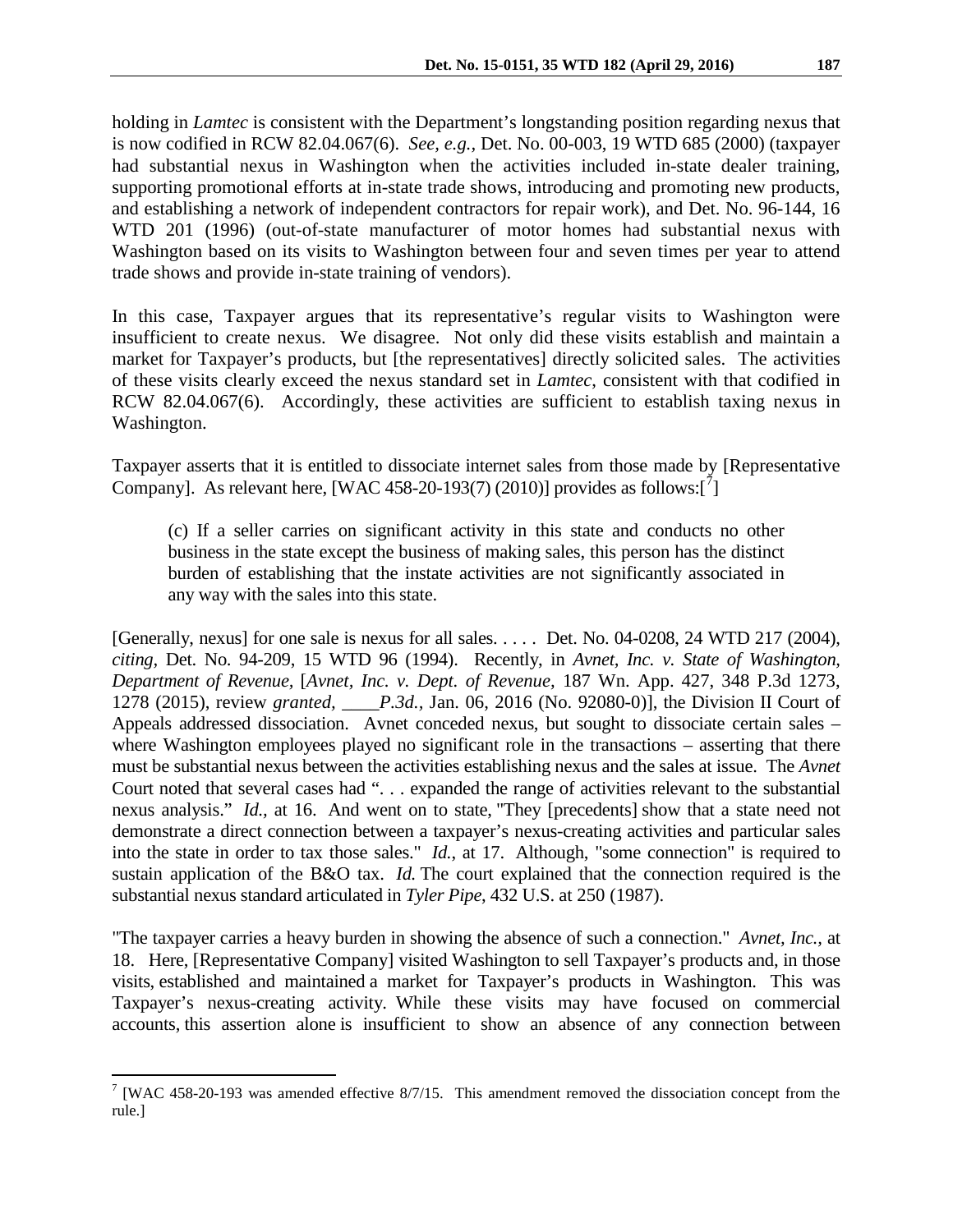holding in *Lamtec* is consistent with the Department's longstanding position regarding nexus that is now codified in RCW 82.04.067(6). *See, e.g.,* Det. No. 00-003, 19 WTD 685 (2000) (taxpayer had substantial nexus in Washington when the activities included in-state dealer training, supporting promotional efforts at in-state trade shows, introducing and promoting new products, and establishing a network of independent contractors for repair work), and Det. No. 96-144, 16 WTD 201 (1996) (out-of-state manufacturer of motor homes had substantial nexus with Washington based on its visits to Washington between four and seven times per year to attend trade shows and provide in-state training of vendors).

In this case, Taxpayer argues that its representative's regular visits to Washington were insufficient to create nexus. We disagree. Not only did these visits establish and maintain a market for Taxpayer's products, but [the representatives] directly solicited sales. The activities of these visits clearly exceed the nexus standard set in *Lamtec*, consistent with that codified in RCW 82.04.067(6). Accordingly, these activities are sufficient to establish taxing nexus in Washington.

Taxpayer asserts that it is entitled to dissociate internet sales from those made by [Representative Company]. As relevant here, [WAC 458-20-193([7](#page-5-0)) (2010)] provides as follows: $\begin{bmatrix} 7 \end{bmatrix}$ 

(c) If a seller carries on significant activity in this state and conducts no other business in the state except the business of making sales, this person has the distinct burden of establishing that the instate activities are not significantly associated in any way with the sales into this state.

[Generally, nexus] for one sale is nexus for all sales. . . . . Det. No. 04-0208, 24 WTD 217 (2004), *citing,* Det. No. 94-209, 15 WTD 96 (1994). Recently, in *Avnet, Inc. v. State of Washington, Department of Revenue,* [*Avnet, Inc. v. Dept. of Revenue,* 187 Wn. App. 427, 348 P.3d 1273, 1278 (2015), review *granted, \_\_\_\_P.3d.,* Jan. 06, 2016 (No. 92080-0)], the Division II Court of Appeals addressed dissociation. Avnet conceded nexus, but sought to dissociate certain sales – where Washington employees played no significant role in the transactions – asserting that there must be substantial nexus between the activities establishing nexus and the sales at issue. The *Avnet* Court noted that several cases had ". . . expanded the range of activities relevant to the substantial nexus analysis." *Id.,* at 16. And went on to state, "They [precedents] show that a state need not demonstrate a direct connection between a taxpayer's nexus-creating activities and particular sales into the state in order to tax those sales." *Id.*, at 17. Although, "some connection" is required to sustain application of the B&O tax. *Id.* The court explained that the connection required is the substantial nexus standard articulated in *Tyler Pipe*, 432 U.S. at 250 (1987).

"The taxpayer carries a heavy burden in showing the absence of such a connection." *Avnet, Inc.,* at 18. Here, [Representative Company] visited Washington to sell Taxpayer's products and, in those visits, established and maintained a market for Taxpayer's products in Washington. This was Taxpayer's nexus-creating activity. While these visits may have focused on commercial accounts, this assertion alone is insufficient to show an absence of any connection between

<span id="page-5-0"></span><sup>&</sup>lt;sup>7</sup> [WAC 458-20-193 was amended effective  $8/7/15$ . This amendment removed the dissociation concept from the rule.]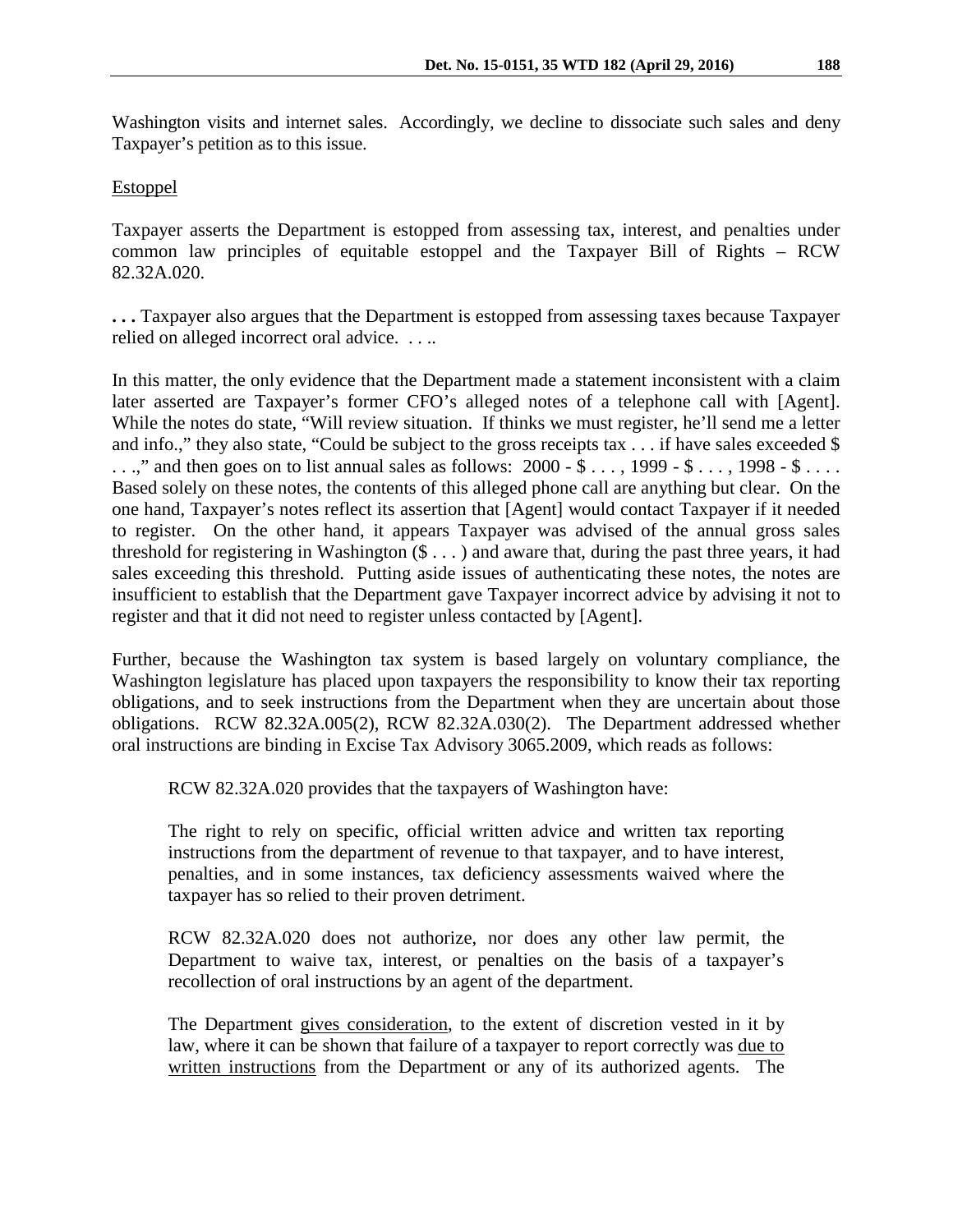Washington visits and internet sales. Accordingly, we decline to dissociate such sales and deny Taxpayer's petition as to this issue.

# **Estoppel**

Taxpayer asserts the Department is estopped from assessing tax, interest, and penalties under common law principles of equitable estoppel and the Taxpayer Bill of Rights – RCW 82.32A.020.

**. . .** Taxpayer also argues that the Department is estopped from assessing taxes because Taxpayer relied on alleged incorrect oral advice. . . ..

In this matter, the only evidence that the Department made a statement inconsistent with a claim later asserted are Taxpayer's former CFO's alleged notes of a telephone call with [Agent]. While the notes do state, "Will review situation. If thinks we must register, he'll send me a letter and info.," they also state, "Could be subject to the gross receipts tax . . . if have sales exceeded \$  $\ldots$ ," and then goes on to list annual sales as follows: 2000 - \$  $\ldots$ , 1999 - \$  $\ldots$ , 1998 - \$  $\ldots$ . Based solely on these notes, the contents of this alleged phone call are anything but clear. On the one hand, Taxpayer's notes reflect its assertion that [Agent] would contact Taxpayer if it needed to register. On the other hand, it appears Taxpayer was advised of the annual gross sales threshold for registering in Washington  $(\$ \dots)$  and aware that, during the past three years, it had sales exceeding this threshold. Putting aside issues of authenticating these notes, the notes are insufficient to establish that the Department gave Taxpayer incorrect advice by advising it not to register and that it did not need to register unless contacted by [Agent].

Further, because the Washington tax system is based largely on voluntary compliance, the Washington legislature has placed upon taxpayers the responsibility to know their tax reporting obligations, and to seek instructions from the Department when they are uncertain about those obligations. RCW 82.32A.005(2), RCW 82.32A.030(2). The Department addressed whether oral instructions are binding in Excise Tax Advisory 3065.2009, which reads as follows:

RCW 82.32A.020 provides that the taxpayers of Washington have:

The right to rely on specific, official written advice and written tax reporting instructions from the department of revenue to that taxpayer, and to have interest, penalties, and in some instances, tax deficiency assessments waived where the taxpayer has so relied to their proven detriment.

RCW 82.32A.020 does not authorize, nor does any other law permit, the Department to waive tax, interest, or penalties on the basis of a taxpayer's recollection of oral instructions by an agent of the department.

The Department gives consideration, to the extent of discretion vested in it by law, where it can be shown that failure of a taxpayer to report correctly was due to written instructions from the Department or any of its authorized agents. The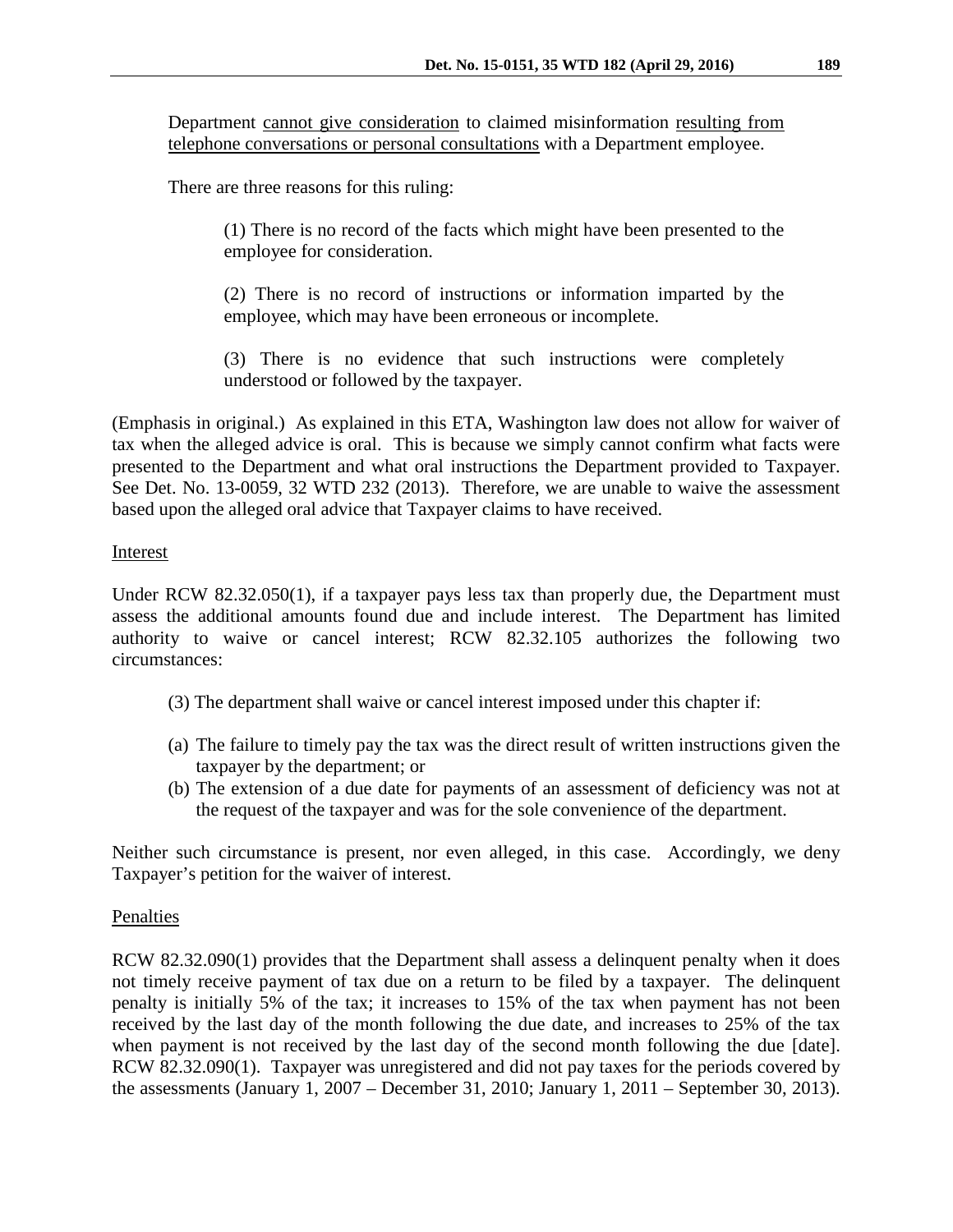Department cannot give consideration to claimed misinformation resulting from telephone conversations or personal consultations with a Department employee.

There are three reasons for this ruling:

(1) There is no record of the facts which might have been presented to the employee for consideration.

(2) There is no record of instructions or information imparted by the employee, which may have been erroneous or incomplete.

(3) There is no evidence that such instructions were completely understood or followed by the taxpayer.

(Emphasis in original.) As explained in this ETA, Washington law does not allow for waiver of tax when the alleged advice is oral. This is because we simply cannot confirm what facts were presented to the Department and what oral instructions the Department provided to Taxpayer. See Det. No. 13-0059, 32 WTD 232 (2013). Therefore, we are unable to waive the assessment based upon the alleged oral advice that Taxpayer claims to have received.

# Interest

Under RCW 82.32.050(1), if a taxpayer pays less tax than properly due, the Department must assess the additional amounts found due and include interest. The Department has limited authority to waive or cancel interest; RCW 82.32.105 authorizes the following two circumstances:

- (3) The department shall waive or cancel interest imposed under this chapter if:
- (a) The failure to timely pay the tax was the direct result of written instructions given the taxpayer by the department; or
- (b) The extension of a due date for payments of an assessment of deficiency was not at the request of the taxpayer and was for the sole convenience of the department.

Neither such circumstance is present, nor even alleged, in this case. Accordingly, we deny Taxpayer's petition for the waiver of interest.

# Penalties

RCW 82.32.090(1) provides that the Department shall assess a delinquent penalty when it does not timely receive payment of tax due on a return to be filed by a taxpayer. The delinquent penalty is initially 5% of the tax; it increases to 15% of the tax when payment has not been received by the last day of the month following the due date, and increases to 25% of the tax when payment is not received by the last day of the second month following the due [date]. RCW 82.32.090(1). Taxpayer was unregistered and did not pay taxes for the periods covered by the assessments (January 1, 2007 – December 31, 2010; January 1, 2011 – September 30, 2013).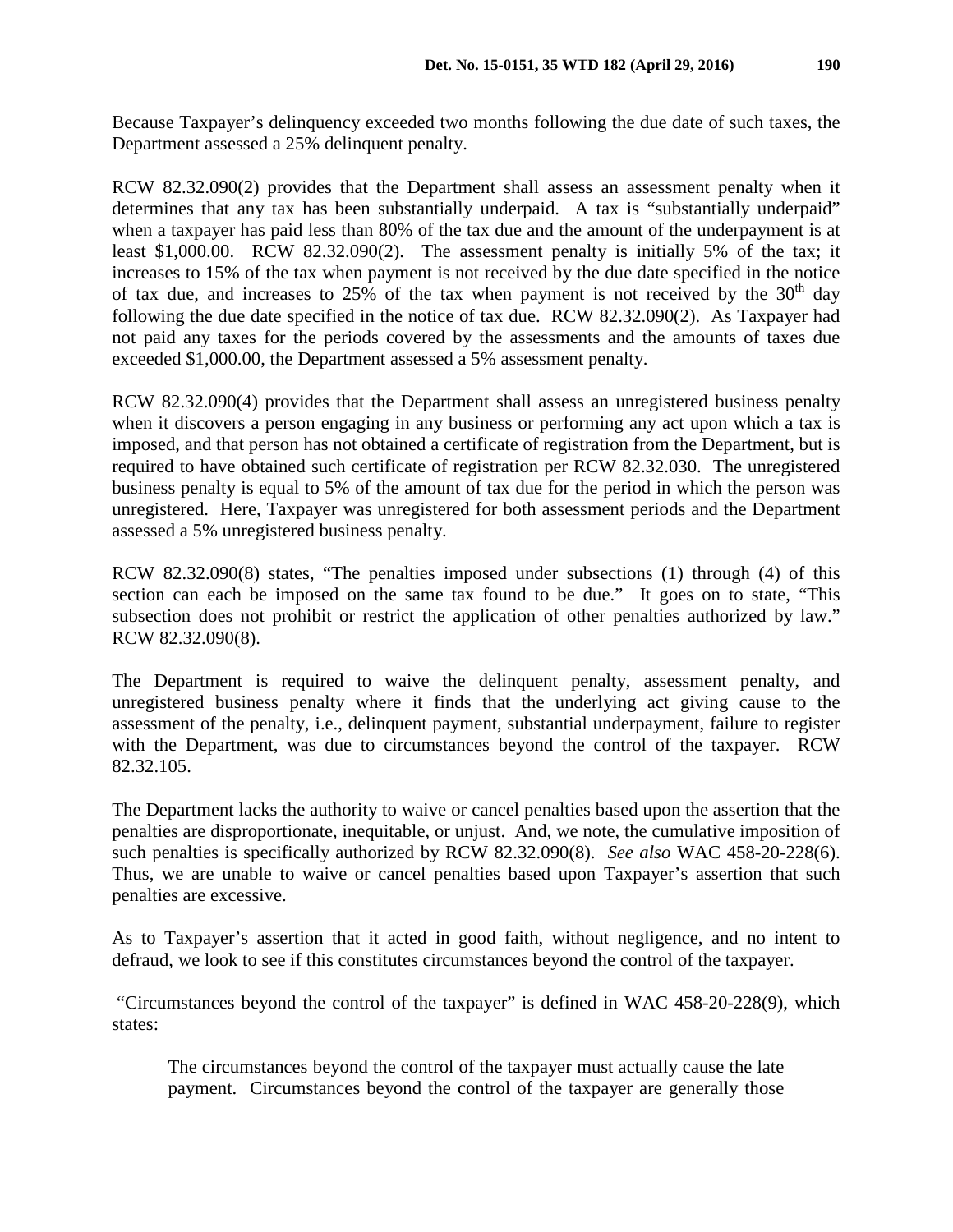Because Taxpayer's delinquency exceeded two months following the due date of such taxes, the Department assessed a 25% delinquent penalty.

RCW 82.32.090(2) provides that the Department shall assess an assessment penalty when it determines that any tax has been substantially underpaid. A tax is "substantially underpaid" when a taxpayer has paid less than 80% of the tax due and the amount of the underpayment is at least \$1,000.00. RCW 82.32.090(2). The assessment penalty is initially 5% of the tax; it increases to 15% of the tax when payment is not received by the due date specified in the notice of tax due, and increases to 25% of the tax when payment is not received by the  $30<sup>th</sup>$  day following the due date specified in the notice of tax due. RCW 82.32.090(2). As Taxpayer had not paid any taxes for the periods covered by the assessments and the amounts of taxes due exceeded \$1,000.00, the Department assessed a 5% assessment penalty.

RCW 82.32.090(4) provides that the Department shall assess an unregistered business penalty when it discovers a person engaging in any business or performing any act upon which a tax is imposed, and that person has not obtained a certificate of registration from the Department, but is required to have obtained such certificate of registration per RCW 82.32.030. The unregistered business penalty is equal to 5% of the amount of tax due for the period in which the person was unregistered. Here, Taxpayer was unregistered for both assessment periods and the Department assessed a 5% unregistered business penalty.

RCW 82.32.090(8) states, "The penalties imposed under subsections (1) through (4) of this section can each be imposed on the same tax found to be due." It goes on to state, "This subsection does not prohibit or restrict the application of other penalties authorized by law." RCW 82.32.090(8).

The Department is required to waive the delinquent penalty, assessment penalty, and unregistered business penalty where it finds that the underlying act giving cause to the assessment of the penalty, i.e., delinquent payment, substantial underpayment, failure to register with the Department, was due to circumstances beyond the control of the taxpayer. RCW 82.32.105.

The Department lacks the authority to waive or cancel penalties based upon the assertion that the penalties are disproportionate, inequitable, or unjust. And, we note, the cumulative imposition of such penalties is specifically authorized by RCW 82.32.090(8). *See also* WAC 458-20-228(6). Thus, we are unable to waive or cancel penalties based upon Taxpayer's assertion that such penalties are excessive.

As to Taxpayer's assertion that it acted in good faith, without negligence, and no intent to defraud, we look to see if this constitutes circumstances beyond the control of the taxpayer.

"Circumstances beyond the control of the taxpayer" is defined in WAC 458-20-228(9), which states:

The circumstances beyond the control of the taxpayer must actually cause the late payment. Circumstances beyond the control of the taxpayer are generally those